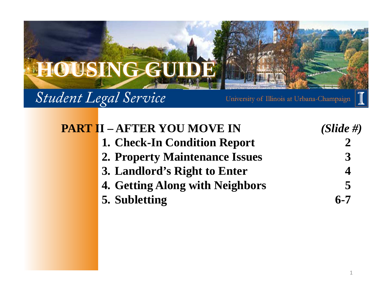

| <b>PART II - AFTER YOU MOVE IN</b>    | $(Slide \#)$ |
|---------------------------------------|--------------|
| 1. Check-In Condition Report          |              |
| <b>2. Property Maintenance Issues</b> | 3            |
| 3. Landlord's Right to Enter          |              |
| 4. Getting Along with Neighbors       | 5            |
| 5. Subletting                         | $6 - 7$      |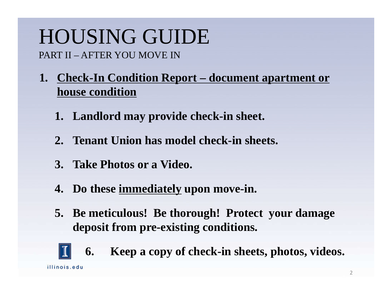- **1. Check-In Condition Report – document apartment or house condition**
	- **1. Landlord may provide check-in sheet.**
	- **2. Tenant Union has model check-in sheets.**
	- **3. Take Photos or a Video.**
	- **4. Do these immediately upon move-in.**
	- **5. Be meticulous! Be thorough! Protect your damage deposit from pre-existing conditions.**

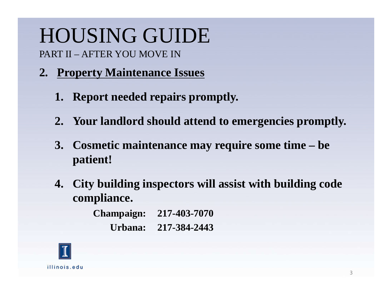### **2. Property Maintenance Issues**

- **1. Report needed repairs promptly.**
- **2. Your landlord should attend to emergencies promptly.**
- **3. Cosmetic maintenance may require some time – be patient!**
- **4. City building inspectors will assist with building code compliance.**

**Champaign: 217-403-7070Urbana: 217-384-2443**

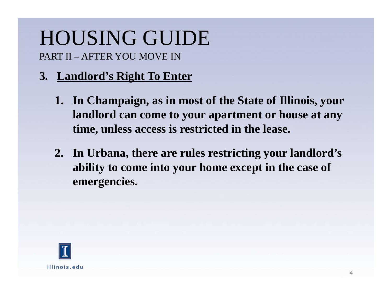### **3. Landlord's Right To Enter**

- **1. In Champaign, as in most of the State of Illinois, your landlord can come to your apartment or house at any time, unless access is restricted in the lease.**
- **2. In Urbana, there are rules restricting your landlord's ability to come into your home except in the case of emergencies.**

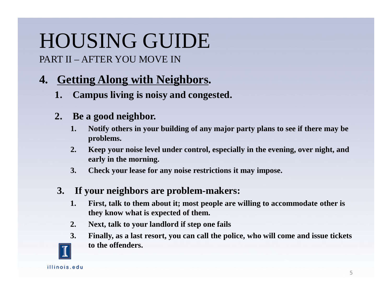### **4. Getting Along with Neighbors.**

**1. Campus living is noisy and congested.**

#### **2. Be a good neighbor.**

- **1. Notify others in your building of any major party plans to see if there may be problems.**
- **2. Keep your noise level under control, especially in the evening, over night, and early in the morning.**
- **3. Check your lease for any noise restrictions it may impose.**

#### **3. If your neighbors are problem-makers:**

- **1. First, talk to them about it; most people are willing to accommodate other is they know what is expected of them.**
- **2. Next, talk to your landlord if step one fails**
- **3. Finally, as a last resort, you can call the police, who will come and issue tickets to the offenders.**

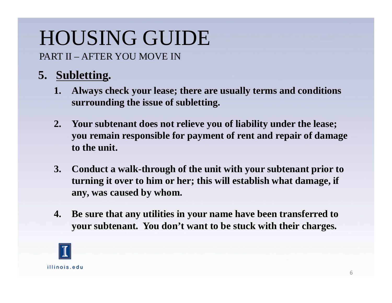### **5. Subletting.**

- **1. Always check your lease; there are usually terms and conditions surrounding the issue of subletting.**
- **2. Your subtenant does not relieve you of liability under the lease; you remain responsible for payment of rent and repair of damage to the unit.**
- **3. Conduct a walk-through of the unit with your subtenant prior to turning it over to him or her; this will establish what damage, if any, was caused by whom.**
- **4. Be sure that any utilities in your name have been transferred to your subtenant. You don't want to be stuck with their charges.**

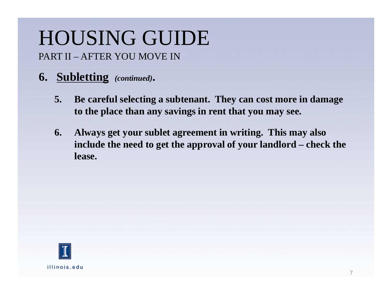- **6. Subletting** *(continued)***.**
	- **5. Be careful selecting a subtenant. They can cost more in damage to the place than any savings in rent that you may see.**
	- **6. Always get your sublet agreement in writing. This may also include the need to get the approval of your landlord – check the lease.**